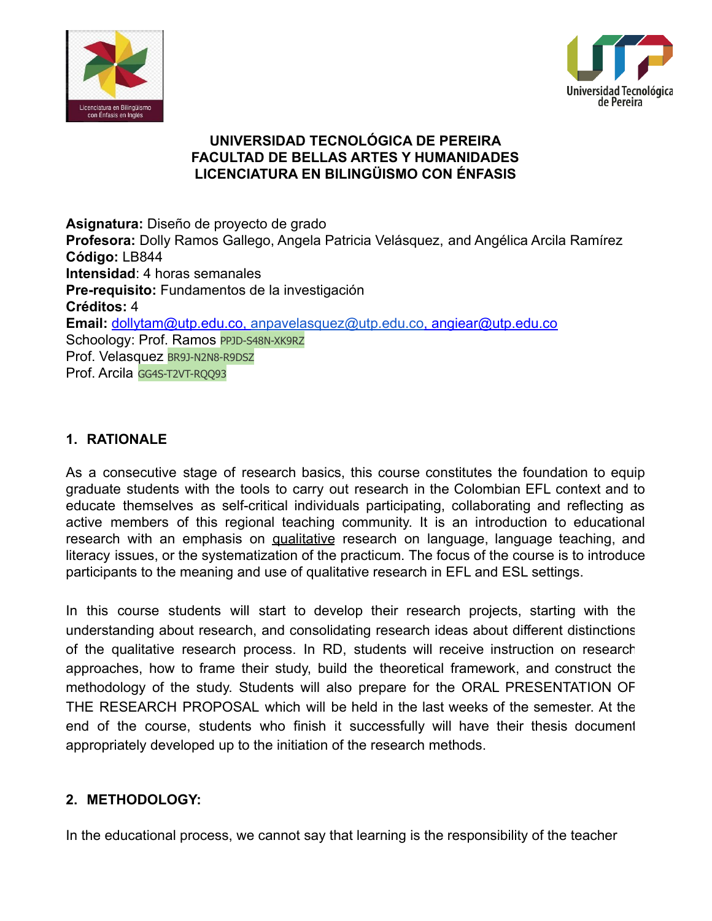



# **UNIVERSIDAD TECNOLÓGICA DE PEREIRA FACULTAD DE BELLAS ARTES Y HUMANIDADES LICENCIATURA EN BILINGÜISMO CON ÉNFASIS**

**Asignatura:** Diseño de proyecto de grado **Profesora:** Dolly Ramos Gallego, Angela Patricia Velásquez, and Angélica Arcila Ramírez **Código:** LB844 **Intensidad**: 4 horas semanales **Pre-requisito:** Fundamentos de la investigación **Créditos:** 4 **Email:** [dollytam@utp.edu.co,](mailto:dollytam@utp.edu.co) [anpavelasquez@utp.edu.co,](mailto:anpavelasquez@utp.edu.co) angiear@utp.edu.co Schoology: Prof. Ramos PPJD-S48N-XK9RZ Prof. Velasquez BR9J-N2N8-R9DSZ Prof. Arcila GG4S-T2VT-ROO93

# **1. RATIONALE**

As a consecutive stage of research basics, this course constitutes the foundation to equip graduate students with the tools to carry out research in the Colombian EFL context and to educate themselves as self-critical individuals participating, collaborating and reflecting as active members of this regional teaching community. It is an introduction to educational research with an emphasis on qualitative research on language, language teaching, and literacy issues, or the systematization of the practicum. The focus of the course is to introduce participants to the meaning and use of qualitative research in EFL and ESL settings.

In this course students will start to develop their research projects, starting with the understanding about research, and consolidating research ideas about different distinctions of the qualitative research process. In RD, students will receive instruction on research approaches, how to frame their study, build the theoretical framework, and construct the methodology of the study. Students will also prepare for the ORAL PRESENTATION OF THE RESEARCH PROPOSAL which will be held in the last weeks of the semester. At the end of the course, students who finish it successfully will have their thesis document appropriately developed up to the initiation of the research methods.

# **2. METHODOLOGY:**

In the educational process, we cannot say that learning is the responsibility of the teacher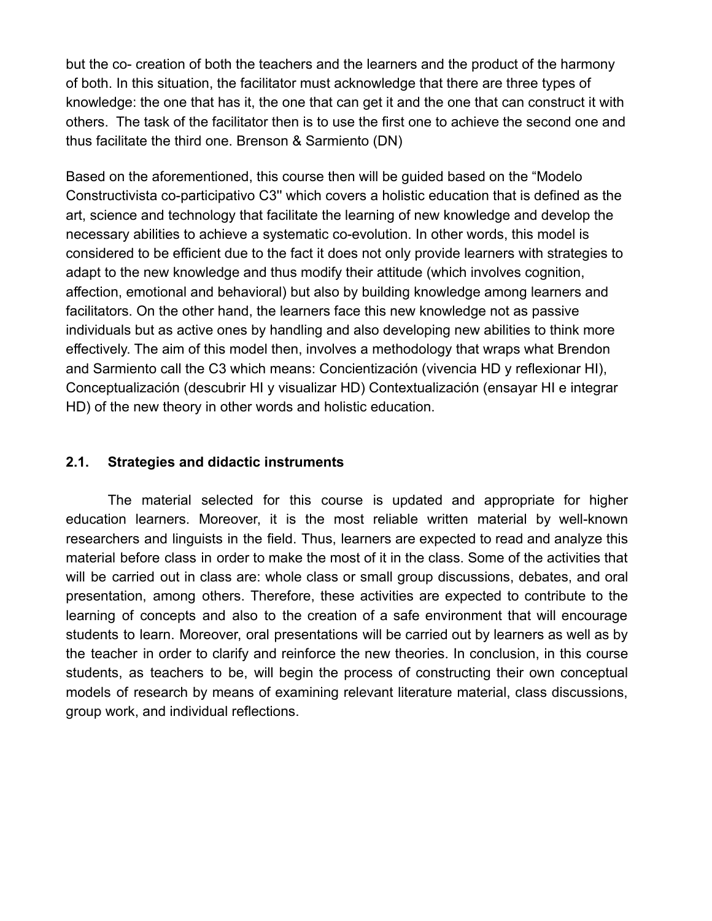but the co- creation of both the teachers and the learners and the product of the harmony of both. In this situation, the facilitator must acknowledge that there are three types of knowledge: the one that has it, the one that can get it and the one that can construct it with others. The task of the facilitator then is to use the first one to achieve the second one and thus facilitate the third one. Brenson & Sarmiento (DN)

Based on the aforementioned, this course then will be guided based on the "Modelo Constructivista co-participativo C3'' which covers a holistic education that is defined as the art, science and technology that facilitate the learning of new knowledge and develop the necessary abilities to achieve a systematic co-evolution. In other words, this model is considered to be efficient due to the fact it does not only provide learners with strategies to adapt to the new knowledge and thus modify their attitude (which involves cognition, affection, emotional and behavioral) but also by building knowledge among learners and facilitators. On the other hand, the learners face this new knowledge not as passive individuals but as active ones by handling and also developing new abilities to think more effectively. The aim of this model then, involves a methodology that wraps what Brendon and Sarmiento call the C3 which means: Concientización (vivencia HD y reflexionar HI), Conceptualización (descubrir HI y visualizar HD) Contextualización (ensayar HI e integrar HD) of the new theory in other words and holistic education.

### **2.1. Strategies and didactic instruments**

The material selected for this course is updated and appropriate for higher education learners. Moreover, it is the most reliable written material by well-known researchers and linguists in the field. Thus, learners are expected to read and analyze this material before class in order to make the most of it in the class. Some of the activities that will be carried out in class are: whole class or small group discussions, debates, and oral presentation, among others. Therefore, these activities are expected to contribute to the learning of concepts and also to the creation of a safe environment that will encourage students to learn. Moreover, oral presentations will be carried out by learners as well as by the teacher in order to clarify and reinforce the new theories. In conclusion, in this course students, as teachers to be, will begin the process of constructing their own conceptual models of research by means of examining relevant literature material, class discussions, group work, and individual reflections.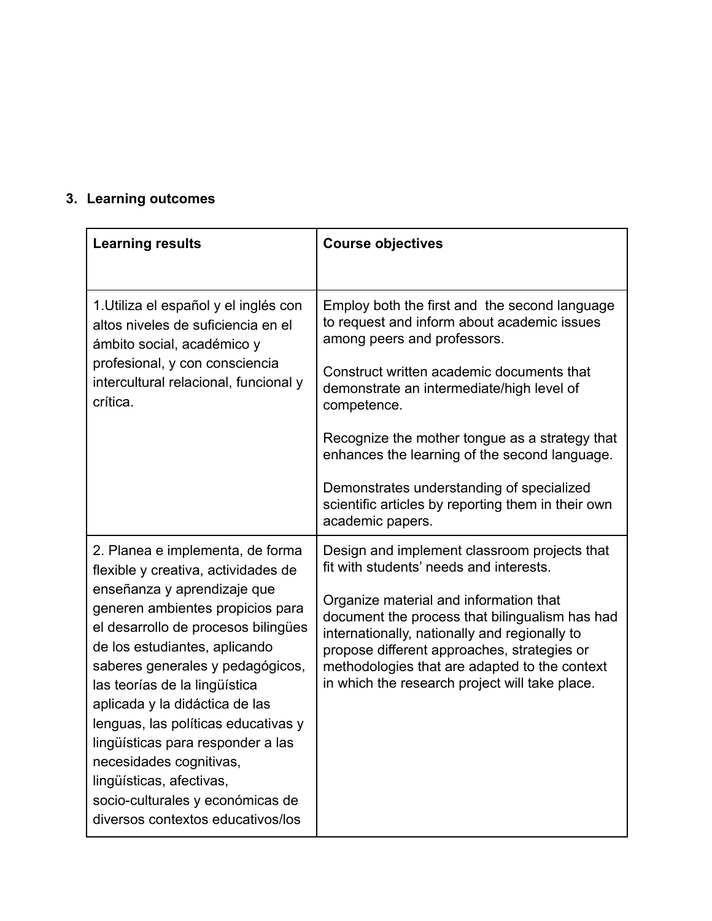# **3. Learning outcomes**

| <b>Learning results</b>                                                                                                                                                                                                                                                                                                                                                                                                                                                                                                               | <b>Course objectives</b>                                                                                                                                                                                                                                                                                                                                                                                                                                       |
|---------------------------------------------------------------------------------------------------------------------------------------------------------------------------------------------------------------------------------------------------------------------------------------------------------------------------------------------------------------------------------------------------------------------------------------------------------------------------------------------------------------------------------------|----------------------------------------------------------------------------------------------------------------------------------------------------------------------------------------------------------------------------------------------------------------------------------------------------------------------------------------------------------------------------------------------------------------------------------------------------------------|
| 1. Utiliza el español y el inglés con<br>altos niveles de suficiencia en el<br>ámbito social, académico y<br>profesional, y con consciencia<br>intercultural relacional, funcional y<br>crítica.                                                                                                                                                                                                                                                                                                                                      | Employ both the first and the second language<br>to request and inform about academic issues<br>among peers and professors.<br>Construct written academic documents that<br>demonstrate an intermediate/high level of<br>competence.<br>Recognize the mother tongue as a strategy that<br>enhances the learning of the second language.<br>Demonstrates understanding of specialized<br>scientific articles by reporting them in their own<br>academic papers. |
| 2. Planea e implementa, de forma<br>flexible y creativa, actividades de<br>enseñanza y aprendizaje que<br>generen ambientes propicios para<br>el desarrollo de procesos bilingües<br>de los estudiantes, aplicando<br>saberes generales y pedagógicos,<br>las teorías de la lingüística<br>aplicada y la didáctica de las<br>lenguas, las políticas educativas y<br>lingüísticas para responder a las<br>necesidades cognitivas,<br>lingüísticas, afectivas,<br>socio-culturales y económicas de<br>diversos contextos educativos/los | Design and implement classroom projects that<br>fit with students' needs and interests.<br>Organize material and information that<br>document the process that bilingualism has had<br>internationally, nationally and regionally to<br>propose different approaches, strategies or<br>methodologies that are adapted to the context<br>in which the research project will take place.                                                                         |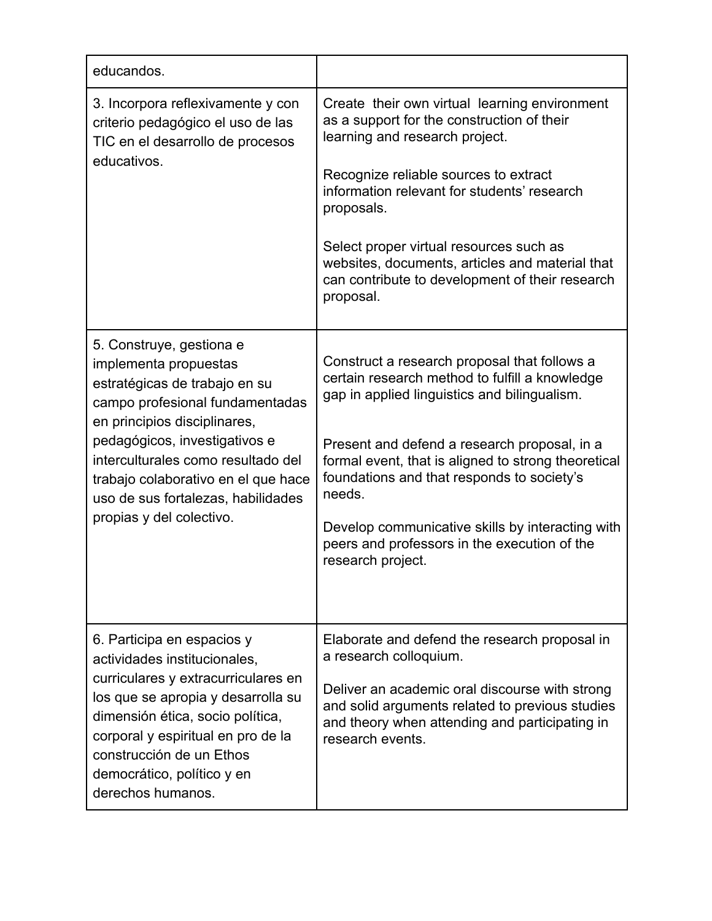| educandos.                                                                                                                                                                                                                                                                                                                            |                                                                                                                                                                                                                                                                                                                                                                                                                                        |
|---------------------------------------------------------------------------------------------------------------------------------------------------------------------------------------------------------------------------------------------------------------------------------------------------------------------------------------|----------------------------------------------------------------------------------------------------------------------------------------------------------------------------------------------------------------------------------------------------------------------------------------------------------------------------------------------------------------------------------------------------------------------------------------|
| 3. Incorpora reflexivamente y con<br>criterio pedagógico el uso de las<br>TIC en el desarrollo de procesos<br>educativos.                                                                                                                                                                                                             | Create their own virtual learning environment<br>as a support for the construction of their<br>learning and research project.<br>Recognize reliable sources to extract<br>information relevant for students' research<br>proposals.<br>Select proper virtual resources such as<br>websites, documents, articles and material that<br>can contribute to development of their research<br>proposal.                                      |
| 5. Construye, gestiona e<br>implementa propuestas<br>estratégicas de trabajo en su<br>campo profesional fundamentadas<br>en principios disciplinares,<br>pedagógicos, investigativos e<br>interculturales como resultado del<br>trabajo colaborativo en el que hace<br>uso de sus fortalezas, habilidades<br>propias y del colectivo. | Construct a research proposal that follows a<br>certain research method to fulfill a knowledge<br>gap in applied linguistics and bilingualism.<br>Present and defend a research proposal, in a<br>formal event, that is aligned to strong theoretical<br>foundations and that responds to society's<br>needs.<br>Develop communicative skills by interacting with<br>peers and professors in the execution of the<br>research project. |
| 6. Participa en espacios y<br>actividades institucionales,<br>curriculares y extracurriculares en<br>los que se apropia y desarrolla su<br>dimensión ética, socio política,<br>corporal y espiritual en pro de la<br>construcción de un Ethos<br>democrático, político y en<br>derechos humanos.                                      | Elaborate and defend the research proposal in<br>a research colloquium.<br>Deliver an academic oral discourse with strong<br>and solid arguments related to previous studies<br>and theory when attending and participating in<br>research events.                                                                                                                                                                                     |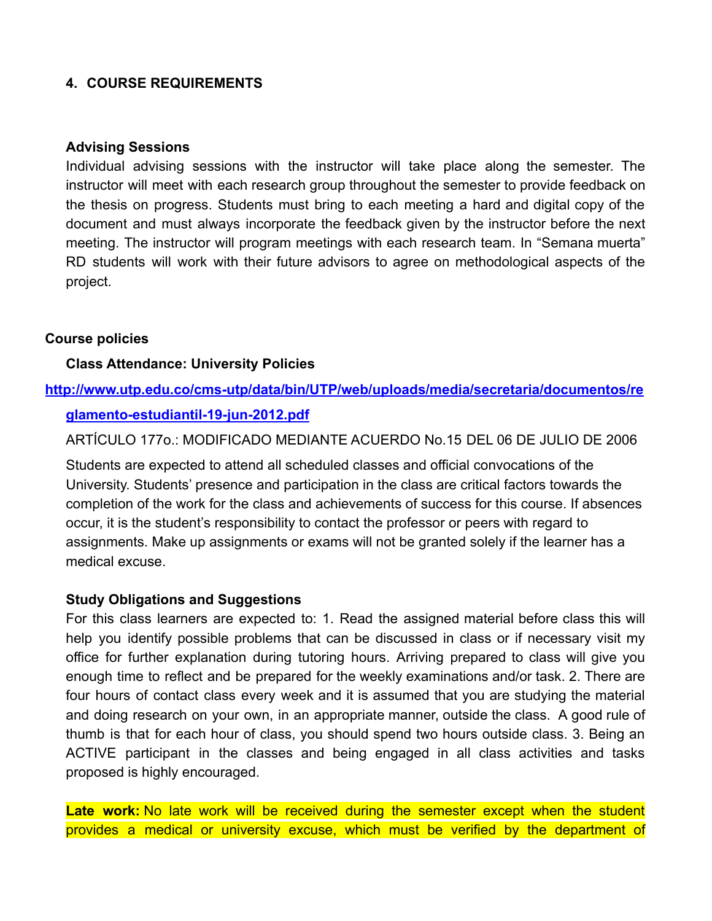# **4. COURSE REQUIREMENTS**

#### **Advising Sessions**

Individual advising sessions with the instructor will take place along the semester. The instructor will meet with each research group throughout the semester to provide feedback on the thesis on progress. Students must bring to each meeting a hard and digital copy of the document and must always incorporate the feedback given by the instructor before the next meeting. The instructor will program meetings with each research team. In "Semana muerta" RD students will work with their future advisors to agree on methodological aspects of the project.

#### **Course policies**

#### **Class Attendance: University Policies**

#### **[http://www.utp.edu.co/cms-utp/data/bin/UTP/web/uploads/media/secretaria/documentos/re](http://www.utp.edu.co/cms-utp/data/bin/UTP/web/uploads/media/secretaria/documentos/reglamento-estudiantil-19-jun-2012.pdf)**

#### **[glamento-estudiantil-19-jun-2012.pdf](http://www.utp.edu.co/cms-utp/data/bin/UTP/web/uploads/media/secretaria/documentos/reglamento-estudiantil-19-jun-2012.pdf)**

ARTÍCULO 177o.: MODIFICADO MEDIANTE ACUERDO No.15 DEL 06 DE JULIO DE 2006

Students are expected to attend all scheduled classes and official convocations of the University. Students' presence and participation in the class are critical factors towards the completion of the work for the class and achievements of success for this course. If absences occur, it is the student's responsibility to contact the professor or peers with regard to assignments. Make up assignments or exams will not be granted solely if the learner has a medical excuse.

#### **Study Obligations and Suggestions**

For this class learners are expected to: 1. Read the assigned material before class this will help you identify possible problems that can be discussed in class or if necessary visit my office for further explanation during tutoring hours. Arriving prepared to class will give you enough time to reflect and be prepared for the weekly examinations and/or task. 2. There are four hours of contact class every week and it is assumed that you are studying the material and doing research on your own, in an appropriate manner, outside the class. A good rule of thumb is that for each hour of class, you should spend two hours outside class. 3. Being an ACTIVE participant in the classes and being engaged in all class activities and tasks proposed is highly encouraged.

Late work: No late work will be received during the semester except when the student provides a medical or university excuse, which must be verified by the department of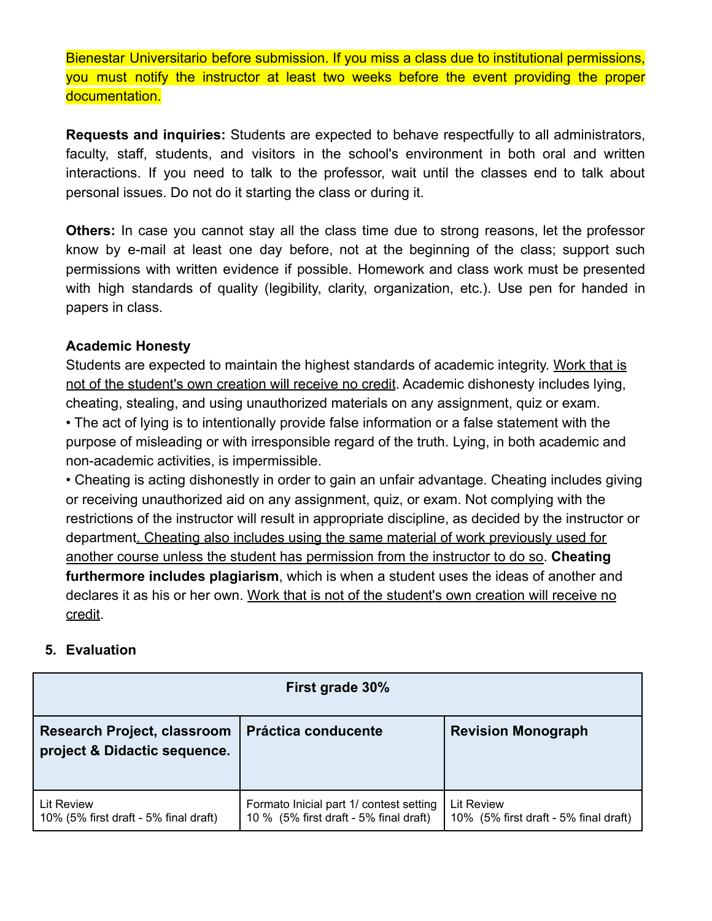Bienestar Universitario before submission. If you miss a class due to institutional permissions, you must notify the instructor at least two weeks before the event providing the proper documentation.

**Requests and inquiries:** Students are expected to behave respectfully to all administrators, faculty, staff, students, and visitors in the school's environment in both oral and written interactions. If you need to talk to the professor, wait until the classes end to talk about personal issues. Do not do it starting the class or during it.

**Others:** In case you cannot stay all the class time due to strong reasons, let the professor know by e-mail at least one day before, not at the beginning of the class; support such permissions with written evidence if possible. Homework and class work must be presented with high standards of quality (legibility, clarity, organization, etc.). Use pen for handed in papers in class.

# **Academic Honesty**

Students are expected to maintain the highest standards of academic integrity. Work that is not of the student's own creation will receive no credit. Academic dishonesty includes lying, cheating, stealing, and using unauthorized materials on any assignment, quiz or exam. • The act of lying is to intentionally provide false information or a false statement with the purpose of misleading or with irresponsible regard of the truth. Lying, in both academic and non-academic activities, is impermissible.

• Cheating is acting dishonestly in order to gain an unfair advantage. Cheating includes giving or receiving unauthorized aid on any assignment, quiz, or exam. Not complying with the restrictions of the instructor will result in appropriate discipline, as decided by the instructor or department. Cheating also includes using the same material of work previously used for another course unless the student has permission from the instructor to do so. **Cheating furthermore includes plagiarism**, which is when a student uses the ideas of another and declares it as his or her own. Work that is not of the student's own creation will receive no credit.

# **5. Evaluation**

| First grade 30%                                                    |                                                                                   |                                                            |
|--------------------------------------------------------------------|-----------------------------------------------------------------------------------|------------------------------------------------------------|
| <b>Research Project, classroom</b><br>project & Didactic sequence. | Práctica conducente                                                               | <b>Revision Monograph</b>                                  |
| <b>Lit Review</b><br>10% (5% first draft - 5% final draft)         | Formato Inicial part 1/ contest setting<br>10 % (5% first draft - 5% final draft) | <b>Lit Review</b><br>10% (5% first draft - 5% final draft) |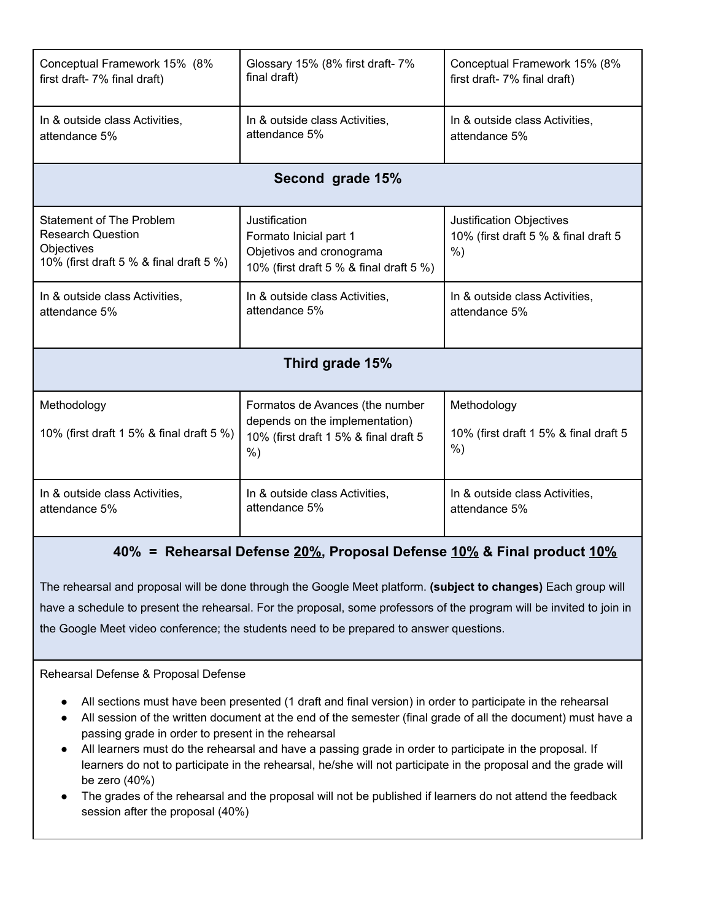| Conceptual Framework 15% (8%                                                                                         | Glossary 15% (8% first draft-7%                                                                                     | Conceptual Framework 15% (8%                                                     |  |
|----------------------------------------------------------------------------------------------------------------------|---------------------------------------------------------------------------------------------------------------------|----------------------------------------------------------------------------------|--|
| first draft- 7% final draft)                                                                                         | final draft)                                                                                                        | first draft- 7% final draft)                                                     |  |
| In & outside class Activities.                                                                                       | In & outside class Activities,                                                                                      | In & outside class Activities,                                                   |  |
| attendance 5%                                                                                                        | attendance 5%                                                                                                       | attendance 5%                                                                    |  |
| Second grade 15%                                                                                                     |                                                                                                                     |                                                                                  |  |
| <b>Statement of The Problem</b><br><b>Research Question</b><br>Objectives<br>10% (first draft 5 % & final draft 5 %) | Justification<br>Formato Inicial part 1<br>Objetivos and cronograma<br>10% (first draft 5 % & final draft 5 %)      | <b>Justification Objectives</b><br>10% (first draft 5 % & final draft 5<br>$%$ ) |  |
| In & outside class Activities,                                                                                       | In & outside class Activities,                                                                                      | In & outside class Activities,                                                   |  |
| attendance 5%                                                                                                        | attendance 5%                                                                                                       | attendance 5%                                                                    |  |
| Third grade 15%                                                                                                      |                                                                                                                     |                                                                                  |  |
| Methodology<br>10% (first draft 1 5% & final draft 5 %)                                                              | Formatos de Avances (the number<br>depends on the implementation)<br>10% (first draft 1 5% & final draft 5<br>$%$ ) | Methodology<br>10% (first draft 1 5% & final draft 5<br>$%$ )                    |  |
| In & outside class Activities,                                                                                       | In & outside class Activities,                                                                                      | In & outside class Activities,                                                   |  |
| attendance 5%                                                                                                        | attendance 5%                                                                                                       | attendance 5%                                                                    |  |

**40% = Rehearsal Defense 20%, Proposal Defense 10% & Final product 10%**

The rehearsal and proposal will be done through the Google Meet platform. **(subject to changes)** Each group will have a schedule to present the rehearsal. For the proposal, some professors of the program will be invited to join in the Google Meet video conference; the students need to be prepared to answer questions.

#### Rehearsal Defense & Proposal Defense

- **●** All sections must have been presented (1 draft and final version) in order to participate in the rehearsal
- All session of the written document at the end of the semester (final grade of all the document) must have a passing grade in order to present in the rehearsal
- **●** All learners must do the rehearsal and have a passing grade in order to participate in the proposal. If learners do not to participate in the rehearsal, he/she will not participate in the proposal and the grade will be zero (40%)
- The grades of the rehearsal and the proposal will not be published if learners do not attend the feedback session after the proposal (40%)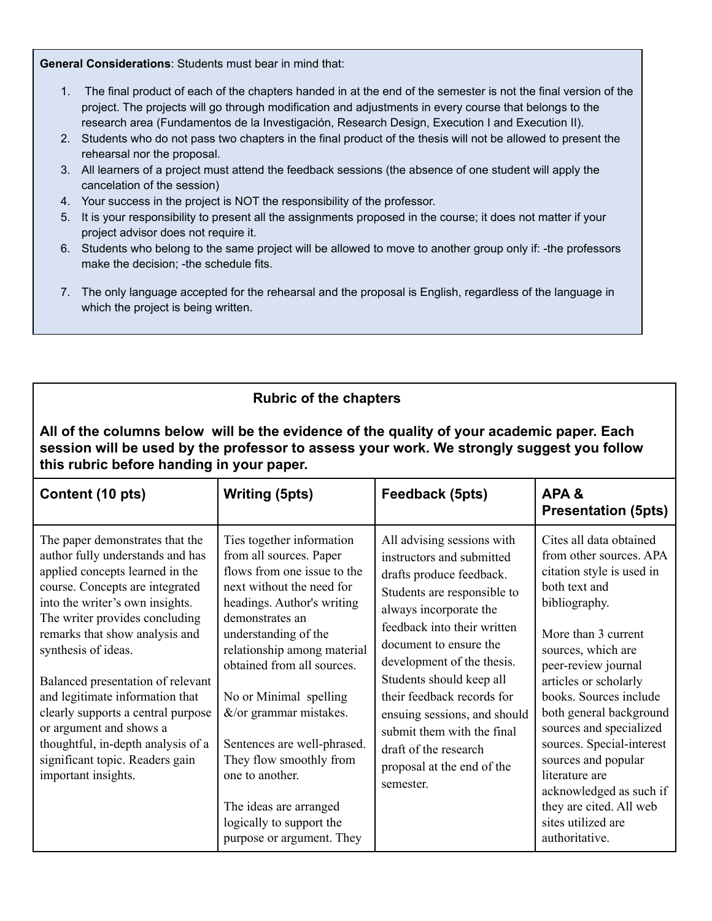**General Considerations**: Students must bear in mind that:

- 1. The final product of each of the chapters handed in at the end of the semester is not the final version of the project. The projects will go through modification and adjustments in every course that belongs to the research area (Fundamentos de la Investigación, Research Design, Execution I and Execution II).
- 2. Students who do not pass two chapters in the final product of the thesis will not be allowed to present the rehearsal nor the proposal.
- 3. All learners of a project must attend the feedback sessions (the absence of one student will apply the cancelation of the session)
- 4. Your success in the project is NOT the responsibility of the professor.
- 5. It is your responsibility to present all the assignments proposed in the course; it does not matter if your project advisor does not require it.
- 6. Students who belong to the same project will be allowed to move to another group only if: -the professors make the decision; -the schedule fits.
- 7. The only language accepted for the rehearsal and the proposal is English, regardless of the language in which the project is being written.

| <b>Rubric of the chapters</b>                                                                                                                                                                                                                                                                                                                                                                                                                                                                                    |                                                                                                                                                                                                                                                                                                                                                                                                                                                                               |                                                                                                                                                                                                                                                                                                                                                                                                                                 |                                                                                                                                                                                                                                                                                                                                                                                                                                                                    |
|------------------------------------------------------------------------------------------------------------------------------------------------------------------------------------------------------------------------------------------------------------------------------------------------------------------------------------------------------------------------------------------------------------------------------------------------------------------------------------------------------------------|-------------------------------------------------------------------------------------------------------------------------------------------------------------------------------------------------------------------------------------------------------------------------------------------------------------------------------------------------------------------------------------------------------------------------------------------------------------------------------|---------------------------------------------------------------------------------------------------------------------------------------------------------------------------------------------------------------------------------------------------------------------------------------------------------------------------------------------------------------------------------------------------------------------------------|--------------------------------------------------------------------------------------------------------------------------------------------------------------------------------------------------------------------------------------------------------------------------------------------------------------------------------------------------------------------------------------------------------------------------------------------------------------------|
| All of the columns below will be the evidence of the quality of your academic paper. Each<br>session will be used by the professor to assess your work. We strongly suggest you follow<br>this rubric before handing in your paper.                                                                                                                                                                                                                                                                              |                                                                                                                                                                                                                                                                                                                                                                                                                                                                               |                                                                                                                                                                                                                                                                                                                                                                                                                                 |                                                                                                                                                                                                                                                                                                                                                                                                                                                                    |
| Content (10 pts)                                                                                                                                                                                                                                                                                                                                                                                                                                                                                                 | <b>Writing (5pts)</b>                                                                                                                                                                                                                                                                                                                                                                                                                                                         | Feedback (5pts)                                                                                                                                                                                                                                                                                                                                                                                                                 | APA&<br><b>Presentation (5pts)</b>                                                                                                                                                                                                                                                                                                                                                                                                                                 |
| The paper demonstrates that the<br>author fully understands and has<br>applied concepts learned in the<br>course. Concepts are integrated<br>into the writer's own insights.<br>The writer provides concluding<br>remarks that show analysis and<br>synthesis of ideas.<br>Balanced presentation of relevant<br>and legitimate information that<br>clearly supports a central purpose<br>or argument and shows a<br>thoughtful, in-depth analysis of a<br>significant topic. Readers gain<br>important insights. | Ties together information<br>from all sources. Paper<br>flows from one issue to the<br>next without the need for<br>headings. Author's writing<br>demonstrates an<br>understanding of the<br>relationship among material<br>obtained from all sources.<br>No or Minimal spelling<br>$&$ /or grammar mistakes.<br>Sentences are well-phrased.<br>They flow smoothly from<br>one to another.<br>The ideas are arranged<br>logically to support the<br>purpose or argument. They | All advising sessions with<br>instructors and submitted<br>drafts produce feedback.<br>Students are responsible to<br>always incorporate the<br>feedback into their written<br>document to ensure the<br>development of the thesis.<br>Students should keep all<br>their feedback records for<br>ensuing sessions, and should<br>submit them with the final<br>draft of the research<br>proposal at the end of the<br>semester. | Cites all data obtained<br>from other sources. APA<br>citation style is used in<br>both text and<br>bibliography.<br>More than 3 current<br>sources, which are<br>peer-review journal<br>articles or scholarly<br>books. Sources include<br>both general background<br>sources and specialized<br>sources. Special-interest<br>sources and popular<br>literature are<br>acknowledged as such if<br>they are cited. All web<br>sites utilized are<br>authoritative. |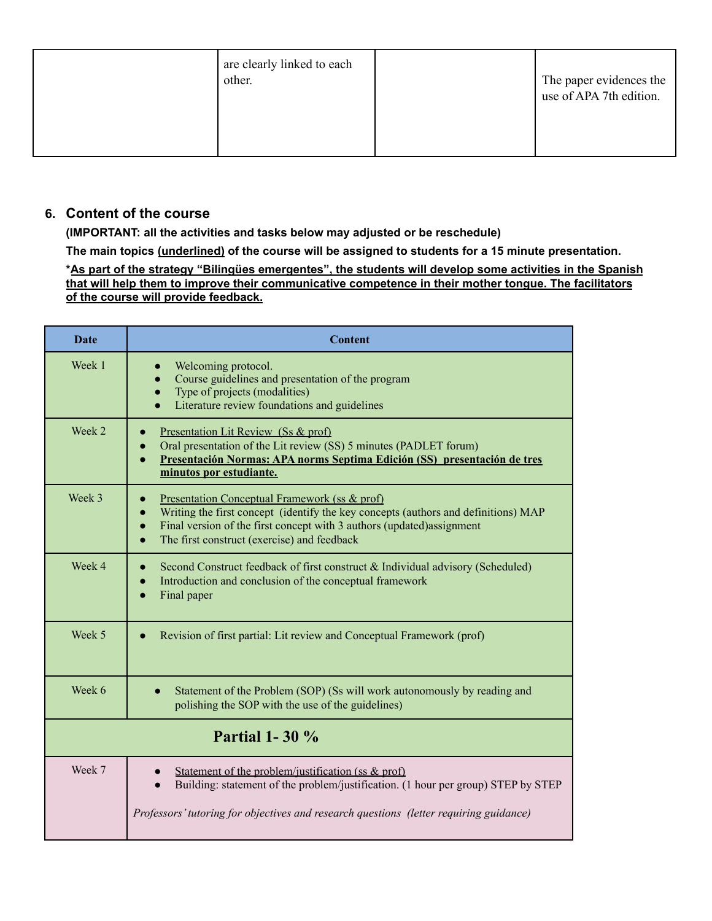| are clearly linked to each<br>other. | The paper evidences the<br>use of APA 7th edition. |
|--------------------------------------|----------------------------------------------------|
|                                      |                                                    |

#### **6. Content of the course**

**(IMPORTANT: all the activities and tasks below may adjusted or be reschedule)**

**The main topics (underlined) of the course will be assigned to students for a 15 minute presentation.**

**\*As part of the strategy "Bilingües emergentes", the students will develop some activities in the Spanish that will help them to improve their communicative competence in their mother tongue. The facilitators of the course will provide feedback.**

| <b>Date</b>           | <b>Content</b>                                                                                                                                                                                                                                                                         |
|-----------------------|----------------------------------------------------------------------------------------------------------------------------------------------------------------------------------------------------------------------------------------------------------------------------------------|
| Week 1                | Welcoming protocol.<br>Course guidelines and presentation of the program<br>$\bullet$<br>Type of projects (modalities)<br>$\bullet$<br>Literature review foundations and guidelines                                                                                                    |
| Week 2                | Presentation Lit Review (Ss & prof)<br>Oral presentation of the Lit review (SS) 5 minutes (PADLET forum)<br>$\bullet$<br>Presentación Normas: APA norms Septima Edición (SS) presentación de tres<br>$\bullet$<br>minutos por estudiante.                                              |
| Week 3                | Presentation Conceptual Framework (ss & prof)<br>Writing the first concept (identify the key concepts (authors and definitions) MAP<br>Final version of the first concept with 3 authors (updated) assignment<br>$\bullet$<br>The first construct (exercise) and feedback<br>$\bullet$ |
| Week 4                | Second Construct feedback of first construct & Individual advisory (Scheduled)<br>Introduction and conclusion of the conceptual framework<br>Final paper<br>$\bullet$                                                                                                                  |
| Week 5                | Revision of first partial: Lit review and Conceptual Framework (prof)                                                                                                                                                                                                                  |
| Week 6                | Statement of the Problem (SOP) (Ss will work autonomously by reading and<br>polishing the SOP with the use of the guidelines)                                                                                                                                                          |
| <b>Partial 1-30 %</b> |                                                                                                                                                                                                                                                                                        |
| Week 7                | Statement of the problem/justification (ss $\&$ prof)<br>Building: statement of the problem/justification. (1 hour per group) STEP by STEP<br>Professors' tutoring for objectives and research questions (letter requiring guidance)                                                   |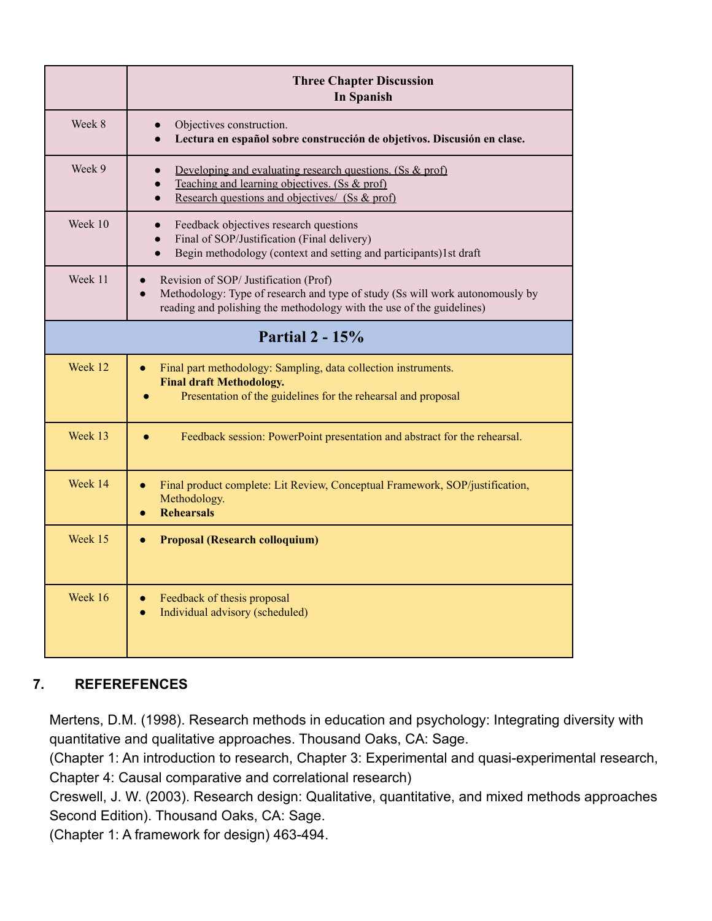|         | <b>Three Chapter Discussion</b><br><b>In Spanish</b>                                                                                                                                                         |  |  |
|---------|--------------------------------------------------------------------------------------------------------------------------------------------------------------------------------------------------------------|--|--|
| Week 8  | Objectives construction.<br>Lectura en español sobre construcción de objetivos. Discusión en clase.<br>$\bullet$                                                                                             |  |  |
| Week 9  | Developing and evaluating research questions. (Ss $&$ prof)<br>Teaching and learning objectives. (Ss & prof)<br>Research questions and objectives/ (Ss & prof)<br>$\bullet$                                  |  |  |
| Week 10 | Feedback objectives research questions<br>$\bullet$<br>Final of SOP/Justification (Final delivery)<br>$\bullet$<br>Begin methodology (context and setting and participants)1st draft<br>$\bullet$            |  |  |
| Week 11 | Revision of SOP/ Justification (Prof)<br>Methodology: Type of research and type of study (Ss will work autonomously by<br>$\bullet$<br>reading and polishing the methodology with the use of the guidelines) |  |  |
|         | <b>Partial 2 - 15%</b>                                                                                                                                                                                       |  |  |
| Week 12 | Final part methodology: Sampling, data collection instruments.<br><b>Final draft Methodology.</b><br>Presentation of the guidelines for the rehearsal and proposal                                           |  |  |
| Week 13 | Feedback session: PowerPoint presentation and abstract for the rehearsal.                                                                                                                                    |  |  |
| Week 14 | Final product complete: Lit Review, Conceptual Framework, SOP/justification,<br>Methodology.<br><b>Rehearsals</b>                                                                                            |  |  |
| Week 15 | <b>Proposal (Research colloquium)</b><br>$\bullet$                                                                                                                                                           |  |  |
| Week 16 | Feedback of thesis proposal<br>$\bullet$<br>Individual advisory (scheduled)<br>$\bullet$                                                                                                                     |  |  |

# **7. REFEREFENCES**

Mertens, D.M. (1998). Research methods in education and psychology: Integrating diversity with quantitative and qualitative approaches. Thousand Oaks, CA: Sage.

(Chapter 1: An introduction to research, Chapter 3: Experimental and quasi-experimental research, Chapter 4: Causal comparative and correlational research)

Creswell, J. W. (2003). Research design: Qualitative, quantitative, and mixed methods approaches Second Edition). Thousand Oaks, CA: Sage.

(Chapter 1: A framework for design) 463-494.